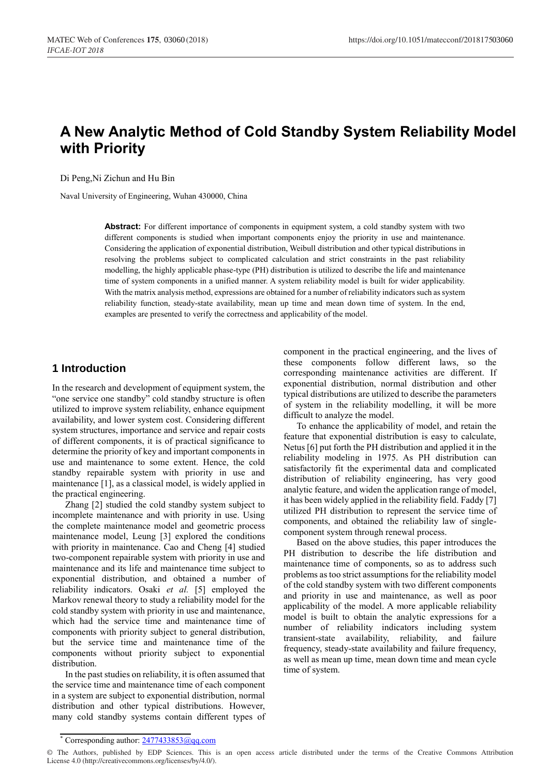# **A New Analytic Method of Cold Standby System Reliability Model with Priority**

Di Peng,Ni Zichun and Hu Bin

Naval University of Engineering, Wuhan 430000, China

**Abstract:** For different importance of components in equipment system, a cold standby system with two different components is studied when important components enjoy the priority in use and maintenance. Considering the application of exponential distribution, Weibull distribution and other typical distributions in resolving the problems subject to complicated calculation and strict constraints in the past reliability modelling, the highly applicable phase-type (PH) distribution is utilized to describe the life and maintenance time of system components in a unified manner. A system reliability model is built for wider applicability. With the matrix analysis method, expressions are obtained for a number of reliability indicators such as system reliability function, steady-state availability, mean up time and mean down time of system. In the end, examples are presented to verify the correctness and applicability of the model.

# **1 Introduction**

In the research and development of equipment system, the "one service one standby" cold standby structure is often utilized to improve system reliability, enhance equipment availability, and lower system cost. Considering different system structures, importance and service and repair costs of different components, it is of practical significance to determine the priority of key and important components in use and maintenance to some extent. Hence, the cold standby repairable system with priority in use and maintenance [1], as a classical model, is widely applied in the practical engineering.

Zhang [2] studied the cold standby system subject to incomplete maintenance and with priority in use. Using the complete maintenance model and geometric process maintenance model, Leung [3] explored the conditions with priority in maintenance. Cao and Cheng [4] studied two-component repairable system with priority in use and maintenance and its life and maintenance time subject to exponential distribution, and obtained a number of reliability indicators. Osaki *et al.* [5] employed the Markov renewal theory to study a reliability model for the cold standby system with priority in use and maintenance, which had the service time and maintenance time of components with priority subject to general distribution, but the service time and maintenance time of the components without priority subject to exponential distribution.

In the past studies on reliability, it is often assumed that the service time and maintenance time of each component in a system are subject to exponential distribution, normal distribution and other typical distributions. However, many cold standby systems contain different types of component in the practical engineering, and the lives of these components follow different laws, so the corresponding maintenance activities are different. If exponential distribution, normal distribution and other typical distributions are utilized to describe the parameters of system in the reliability modelling, it will be more difficult to analyze the model.

To enhance the applicability of model, and retain the feature that exponential distribution is easy to calculate, Netus [6] put forth the PH distribution and applied it in the reliability modeling in 1975. As PH distribution can satisfactorily fit the experimental data and complicated distribution of reliability engineering, has very good analytic feature, and widen the application range of model, it has been widely applied in the reliability field. Faddy [7] utilized PH distribution to represent the service time of components, and obtained the reliability law of singlecomponent system through renewal process.

Based on the above studies, this paper introduces the PH distribution to describe the life distribution and maintenance time of components, so as to address such problems as too strict assumptions for the reliability model of the cold standby system with two different components and priority in use and maintenance, as well as poor applicability of the model. A more applicable reliability model is built to obtain the analytic expressions for a number of reliability indicators including system transient-state availability, reliability, and failure frequency, steady-state availability and failure frequency, as well as mean up time, mean down time and mean cycle time of system.

<sup>\*</sup> Corresponding author:  $\frac{2477433853@qq.com}{2477433853@qq.com}$ 

<sup>©</sup> The Authors, published by EDP Sciences. This is an open access article distributed under the terms of the Creative Commons Attribution License 4.0 (http://creativecommons.org/licenses/by/4.0/).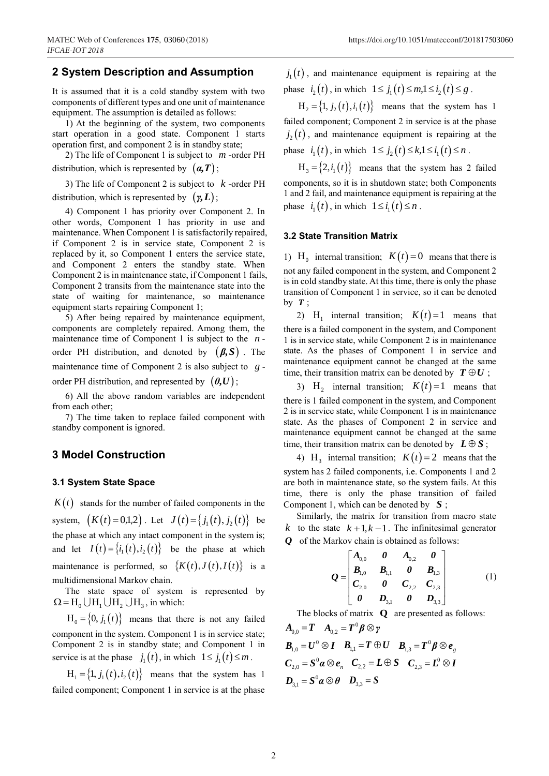## **2 System Description and Assumption**

It is assumed that it is a cold standby system with two components of different types and one unit of maintenance equipment. The assumption is detailed as follows:

1) At the beginning of the system, two components start operation in a good state. Component 1 starts operation first, and component 2 is in standby state;

2) The life of Component 1 is subject to *m* -order PH distribution, which is represented by (*α,Τ*) ;

3) The life of Component 2 is subject to  $k$ -order PH distribution, which is represented by (*γ,L*) ;

4) Component 1 has priority over Component 2. In other words, Component 1 has priority in use and maintenance. When Component 1 is satisfactorily repaired, if Component 2 is in service state, Component 2 is replaced by it, so Component 1 enters the service state, and Component 2 enters the standby state. When Component 2 is in maintenance state, if Component 1 fails, Component 2 transits from the maintenance state into the state of waiting for maintenance, so maintenance equipment starts repairing Component 1;

5) After being repaired by maintenance equipment, components are completely repaired. Among them, the maintenance time of Component 1 is subject to the  $n$ order PH distribution, and denoted by  $(\beta, S)$ . The maintenance time of Component 2 is also subject to *g* order PH distribution, and represented by  $(\theta, U)$ ;

6) All the above random variables are independent from each other;

7) The time taken to replace failed component with standby component is ignored.

## **3 Model Construction**

#### **3.1 System State Space**

 $K(t)$  stands for the number of failed components in the system,  $(K(t) = 0,1,2)$ . Let  $J(t) = \{j_1(t), j_2(t)\}$  be the phase at which any intact component in the system is; and let  $I(t) = \{i_1(t), i_2(t)\}$  be the phase at which maintenance is performed, so  $\{K(t), J(t), I(t)\}\$ is a multidimensional Markov chain.

The state space of system is represented by  $\Omega = H_0 \cup H_1 \cup H_2 \cup H_3$ , in which:

 $H_0 = \{0, j_1(t)\}\$  means that there is not any failed component in the system. Component 1 is in service state; Component 2 is in standby state; and Component 1 in service is at the phase  $j_1(t)$ , in which  $1 \le j_1(t) \le m$ .

 $H_1 = \{1, j_1(t), i_2(t)\}$  means that the system has 1 failed component; Component 1 in service is at the phase

 $j_1(t)$ , and maintenance equipment is repairing at the phase  $i_2(t)$ , in which  $1 \le j_1(t) \le m, 1 \le i_2(t) \le g$ .

 $H_2 = \{1, j_2(t), i_1(t)\}\$  means that the system has 1 failed component; Component 2 in service is at the phase  $j_2(t)$ , and maintenance equipment is repairing at the phase  $i_1(t)$ , in which  $1 \le j_2(t) \le k, 1 \le i_1(t) \le n$ .

 $H_3 = \{2, i_1(t)\}\$  means that the system has 2 failed components, so it is in shutdown state; both Components 1 and 2 fail, and maintenance equipment is repairing at the phase  $i_1(t)$ , in which  $1 \le i_1(t) \le n$ .

#### **3.2 State Transition Matrix**

1) H<sub>0</sub> internal transition;  $K(t) = 0$  means that there is not any failed component in the system, and Component 2 is in cold standby state. At this time, there is only the phase transition of Component 1 in service, so it can be denoted by  $T$ ;

2)  $H_1$  internal transition;  $K(t) = 1$  means that there is a failed component in the system, and Component 1 is in service state, while Component 2 is in maintenance state. As the phases of Component 1 in service and maintenance equipment cannot be changed at the same time, their transition matrix can be denoted by  $T \oplus U$ ;

3)  $H_2$  internal transition;  $K(t) = 1$  means that there is 1 failed component in the system, and Component 2 is in service state, while Component 1 is in maintenance state. As the phases of Component 2 in service and maintenance equipment cannot be changed at the same time, their transition matrix can be denoted by  $L \oplus S$ ;

4) H<sub>3</sub> internal transition;  $K(t) = 2$  means that the system has 2 failed components, i.e. Components 1 and 2 are both in maintenance state, so the system fails. At this time, there is only the phase transition of failed Component 1, which can be denoted by *S* ;

Similarly, the matrix for transition from macro state *k* to the state  $k+1, k-1$ . The infinitesimal generator *Q* of the Markov chain is obtained as follows:

$$
Q = \begin{bmatrix} A_{0,0} & 0 & A_{0,2} & 0 \\ B_{1,0} & B_{1,1} & 0 & B_{1,3} \\ C_{2,0} & 0 & C_{2,2} & C_{2,3} \\ 0 & D_{3,1} & 0 & D_{3,3} \end{bmatrix} \tag{1}
$$

The blocks of matrix **Q** are presented as follows:

 $\boldsymbol{A}_{0,0} = \boldsymbol{T} \quad \boldsymbol{A}_{0,2} = \boldsymbol{T}^0 \boldsymbol{\beta} \otimes \boldsymbol{\gamma}$  $\boldsymbol{B}_{\!1,0}\!=\!\boldsymbol{U}^0\,\mathop{\otimes} \boldsymbol{I} \quad \boldsymbol{B}_{\!1,1}\!=\!\boldsymbol{T}\,\mathop{\oplus} \boldsymbol{U} \quad \boldsymbol{B}_{\!1,3}\!=\!\boldsymbol{T}^0\boldsymbol{\beta}\mathop{\otimes} \boldsymbol{e}_{_S}$  $C_{2,0} = S^0 \alpha \otimes e_n \quad C_{2,2} = L \oplus S \quad C_{2,3} = L^0 \otimes I$  $D_{3,1} = S^0 \alpha \otimes \theta$   $D_{3,3} = S$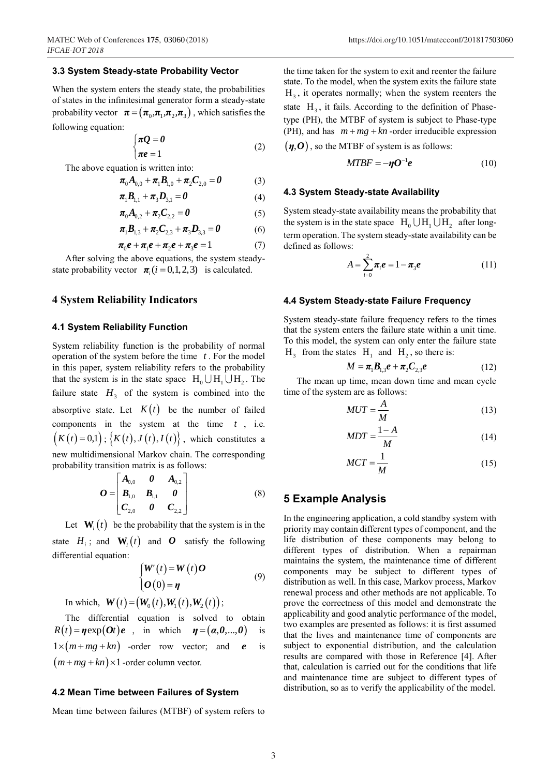#### **3.3 System Steady-state Probability Vector**

When the system enters the steady state, the probabilities of states in the infinitesimal generator form a steady-state probability vector  $\boldsymbol{\pi} = (\boldsymbol{\pi}_0, \boldsymbol{\pi}_1, \boldsymbol{\pi}_2, \boldsymbol{\pi}_3)$ , which satisfies the following equation:

$$
\begin{cases} \pi Q = 0 \\ \pi e = 1 \end{cases} \tag{2}
$$

The above equation is written into:

$$
\boldsymbol{\pi}_0 \boldsymbol{A}_{0,0} + \boldsymbol{\pi}_1 \boldsymbol{B}_{1,0} + \boldsymbol{\pi}_2 \boldsymbol{C}_{2,0} = \boldsymbol{0}
$$
 (3)

$$
\pi_1 B_{1,1} + \pi_3 D_{3,1} = 0 \tag{4}
$$

$$
\pi_0 A_{0,2} + \pi_2 C_{2,2} = 0 \tag{5}
$$

$$
\pi_1 \mathbf{B}_{1,3} + \pi_2 \mathbf{C}_{2,3} + \pi_3 \mathbf{D}_{3,3} = 0 \tag{6}
$$

$$
\pi_0 e + \pi_1 e + \pi_2 e + \pi_3 e = 1 \tag{7}
$$

After solving the above equations, the system steadystate probability vector  $\pi_i$  ( $i = 0, 1, 2, 3$ ) is calculated.

### **4 System Reliability Indicators**

#### **4.1 System Reliability Function**

System reliability function is the probability of normal operation of the system before the time *t* . For the model in this paper, system reliability refers to the probability that the system is in the state space  $H_0 \cup H_1 \cup H_2$ . The failure state  $H_3$  of the system is combined into the absorptive state. Let  $K(t)$  be the number of failed components in the system at the time  $t$ , i.e.  $(K(t)=0,1); K(t), J(t), I(t)$ , which constitutes a new multidimensional Markov chain. The corresponding probability transition matrix is as follows:

$$
\boldsymbol{O} = \begin{bmatrix} \boldsymbol{A}_{0,0} & \boldsymbol{0} & \boldsymbol{A}_{0,2} \\ \boldsymbol{B}_{1,0} & \boldsymbol{B}_{1,1} & \boldsymbol{0} \\ \boldsymbol{C}_{2,0} & \boldsymbol{0} & \boldsymbol{C}_{2,2} \end{bmatrix}
$$
 (8)

Let  $\mathbf{W}_i(t)$  be the probability that the system is in the state  $H_i$ ; and  $W_i(t)$  and  $O$  satisfy the following differential equation:

$$
\begin{cases}\nW'(t) = W(t)O \\
O(0) = \eta\n\end{cases}
$$
\n(9)

In which,  $\mathbf{W}(t) = (\mathbf{W}_0(t), \mathbf{W}_1(t), \mathbf{W}_2(t));$ 

The differential equation is solved to obtain  $R(t) = \eta \exp(\theta t) e$ , in which  $\eta = (\alpha, \theta, ..., \theta)$  is  $1 \times (m + mg + kn)$  -order row vector; and *e e* is  $(m + mg + kn) \times 1$  -order column vector.

#### **4.2 Mean Time between Failures of System**

Mean time between failures (MTBF) of system refers to

the time taken for the system to exit and reenter the failure state. To the model, when the system exits the failure state  $H_3$ , it operates normally; when the system reenters the state  $H_3$ , it fails. According to the definition of Phasetype (PH), the MTBF of system is subject to Phase-type (PH), and has  $m + mg + kn$ -order irreducible expression

 $(\eta, 0)$ , so the MTBF of system is as follows:

$$
MTBF = -\eta O^{-1}e \tag{10}
$$

#### **4.3 System Steady-state Availability**

System steady-state availability means the probability that the system is in the state space  $H_0 \cup H_1 \cup H_2$  after longterm operation. The system steady-state availability can be defined as follows:

$$
A = \sum_{i=0}^{2} \pi_{i} e = 1 - \pi_{3} e \tag{11}
$$

#### **4.4 System Steady-state Failure Frequency**

System steady-state failure frequency refers to the times that the system enters the failure state within a unit time. To this model, the system can only enter the failure state  $H_3$  from the states  $H_1$  and  $H_2$ , so there is:

$$
M = \pi_1 B_{1,3} e + \pi_2 C_{2,3} e \tag{12}
$$

The mean up time, mean down time and mean cycle time of the system are as follows:

$$
MUT = \frac{A}{M} \tag{13}
$$

$$
MDT = \frac{1 - A}{M} \tag{14}
$$

$$
MCT = \frac{1}{M} \tag{15}
$$

## **5 Example Analysis**

In the engineering application, a cold standby system with priority may contain different types of component, and the life distribution of these components may belong to different types of distribution. When a repairman maintains the system, the maintenance time of different components may be subject to different types of distribution as well. In this case, Markov process, Markov renewal process and other methods are not applicable. To prove the correctness of this model and demonstrate the applicability and good analytic performance of the model, two examples are presented as follows: it is first assumed that the lives and maintenance time of components are subject to exponential distribution, and the calculation results are compared with those in Reference [4]. After that, calculation is carried out for the conditions that life and maintenance time are subject to different types of distribution, so as to verify the applicability of the model.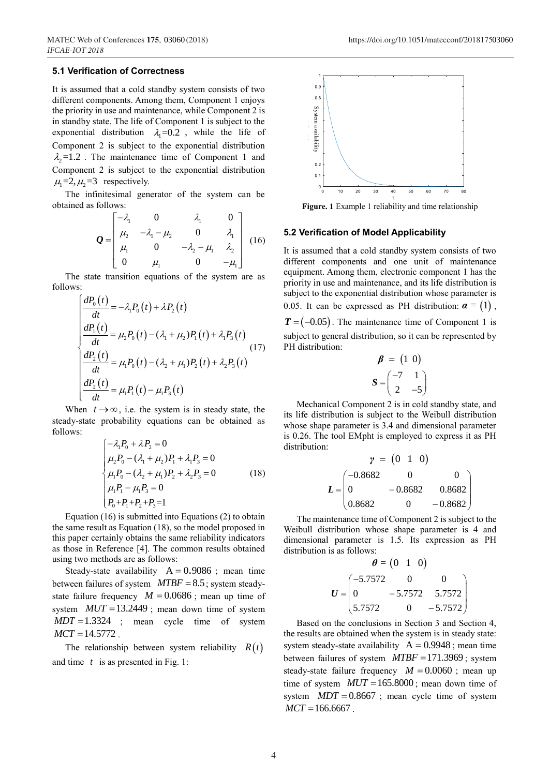## **5.1 Verification of Correctness**

It is assumed that a cold standby system consists of two different components. Among them, Component 1 enjoys the priority in use and maintenance, while Component 2 is in standby state. The life of Component 1 is subject to the exponential distribution  $\lambda_1 = 0.2$ , while the life of Component 2 is subject to the exponential distribution  $\lambda_2$ =1.2. The maintenance time of Component 1 and Component 2 is subject to the exponential distribution  $\mu_1 = 2, \mu_2 = 3$  respectively.

The infinitesimal generator of the system can be obtained as follows:

follows:  
\n
$$
Q = \begin{bmatrix}\n-\lambda_1 & 0 & \lambda_1 & 0 \\
\mu_2 & -\lambda_1 - \mu_2 & 0 & \lambda_1 \\
\mu_1 & 0 & -\lambda_2 - \mu_1 & \lambda_2 \\
0 & \mu_1 & 0 & -\mu_1\n\end{bmatrix}
$$
\n(16)

The state transition equations of the system are as follows:

$$
\begin{aligned}\n\stackrel{\text{s:}}{=} \frac{dP_0(t)}{dt} &= -\lambda_1 P_0(t) + \lambda P_2(t) \\
\frac{dP_1(t)}{dt} &= \mu_2 P_0(t) - (\lambda_1 + \mu_2) P_1(t) + \lambda_1 P_3(t) \\
\frac{dP_2(t)}{dt} &= \mu_1 P_0(t) - (\lambda_2 + \mu_1) P_2(t) + \lambda_2 P_3(t) \\
\frac{dP_2(t)}{dt} &= \mu_1 P_1(t) - \mu_1 P_3(t)\n\end{aligned}
$$
\n(17)

When  $t \rightarrow \infty$ , i.e. the system is in steady state, the steady-state probability equations can be obtained as follows:

$$
\begin{cases}\n-\lambda_1 P_0 + \lambda P_2 = 0 \\
\mu_2 P_0 - (\lambda_1 + \mu_2) P_1 + \lambda_1 P_3 = 0 \\
\mu_1 P_0 - (\lambda_2 + \mu_1) P_2 + \lambda_2 P_3 = 0 \\
\mu_1 P_1 - \mu_1 P_3 = 0 \\
P_0 + P_1 + P_2 + P_3 = 1\n\end{cases}
$$
\n(18)

Equation (16) is submitted into Equations (2) to obtain the same result as Equation (18), so the model proposed in this paper certainly obtains the same reliability indicators as those in Reference [4]. The common results obtained using two methods are as follows:

Steady-state availability  $A = 0.9086$ ; mean time between failures of system *MTBF* = 8.5 ; system steadystate failure frequency  $M = 0.0686$ ; mean up time of system  $MUT = 13.2449$ ; mean down time of system  $MDT = 1.3324$  ; mean cycle time of system  $MCT = 14.5772$ .

The relationship between system reliability  $R(t)$ and time *t* is as presented in Fig. 1:



**Figure. 1** Example 1 reliability and time relationship

#### **5.2 Verification of Model Applicability**

It is assumed that a cold standby system consists of two different components and one unit of maintenance equipment. Among them, electronic component 1 has the priority in use and maintenance, and its life distribution is subject to the exponential distribution whose parameter is 0.05. It can be expressed as PH distribution:  $\boldsymbol{\alpha} = (1)$ ,  $T = (-0.05)$ . The maintenance time of Component 1 is subject to general distribution, so it can be represented by PH distribution: *MCT* =166.6667 .<br> *MCT* =166.6667 .<br> *MCT* =166.6667 .<br> *MCT* =166.6667 .<br> *MCT* =166.6667 .<br> *MCT* =166.6667 .<br> *MCT* =166.6667 .<br> *MCT* =166.6667 .<br> *MCT* =166.6667 .<br> *MCT* =166.6667 .<br> *MCT* =166.6667 .<br> *MCT* =166.6

$$
\beta = \begin{pmatrix} 1 & 0 \\ 0 & 0 \end{pmatrix}
$$

$$
S = \begin{pmatrix} -7 & 1 \\ 2 & -5 \end{pmatrix}
$$

Mechanical Component 2 is in cold standby state, and its life distribution is subject to the Weibull distribution whose shape parameter is 3.4 and dimensional parameter is 0.26. The tool EMpht is employed to express it as PH distribution:

$$
\gamma = (0 \ 1 \ 0)
$$
  

$$
L = \begin{pmatrix} -0.8682 & 0 & 0 \\ 0 & -0.8682 & 0.8682 \\ 0.8682 & 0 & -0.8682 \end{pmatrix}
$$

The maintenance time of Component 2 is subject to the Weibull distribution whose shape parameter is 4 and dimensional parameter is 1.5. Its expression as PH distribution is as follows:

$$
\theta = \begin{pmatrix} 0 & 1 & 0 \end{pmatrix}
$$

$$
U = \begin{pmatrix} -5.7572 & 0 & 0 \\ 0 & -5.7572 & 5.7572 \\ 5.7572 & 0 & -5.7572 \end{pmatrix}
$$

Based on the conclusions in Section 3 and Section 4, the results are obtained when the system is in steady state: system steady-state availability  $A = 0.9948$ ; mean time between failures of system  $MTBF = 171.3969$ ; system steady-state failure frequency  $M = 0.0060$ ; mean up time of system  $MUT = 165.8000$ ; mean down time of system  $MDT = 0.8667$ ; mean cycle time of system  $MCT = 166.6667$ .